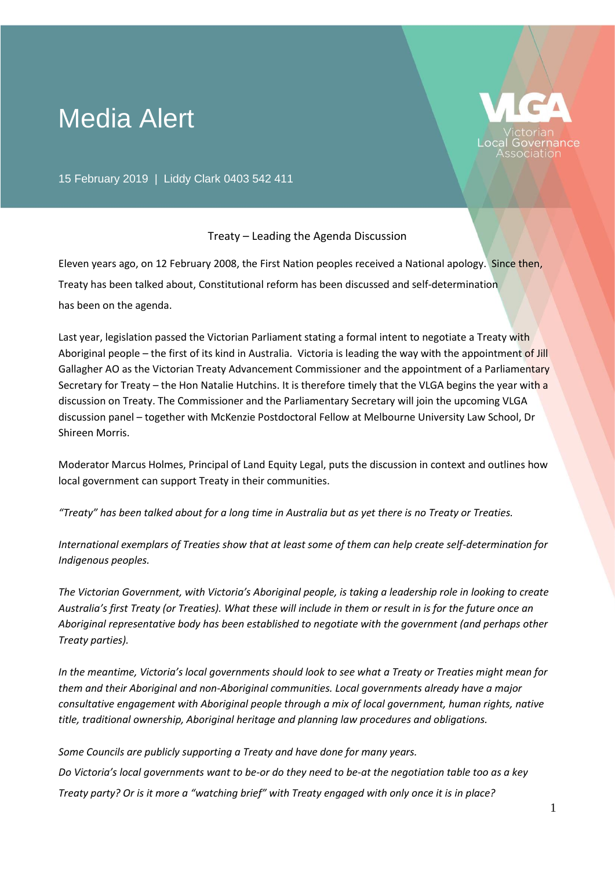## Media Alert



15 February 2019 | Liddy Clark 0403 542 411

## Treaty – Leading the Agenda Discussion

Eleven years ago, on 12 February 2008, the First Nation peoples received a National apology. Since then, Treaty has been talked about, Constitutional reform has been discussed and self-determination has been on the agenda.

Last year, legislation passed the Victorian Parliament stating a formal intent to negotiate a Treaty with Aboriginal people – the first of its kind in Australia. Victoria is leading the way with the appointment of Jill Gallagher AO as the Victorian Treaty Advancement Commissioner and the appointment of a Parliamentary Secretary for Treaty – the Hon Natalie Hutchins. It is therefore timely that the VLGA begins the year with a discussion on Treaty. The Commissioner and the Parliamentary Secretary will join the upcoming VLGA discussion panel – together with McKenzie Postdoctoral Fellow at Melbourne University Law School, Dr Shireen Morris.

Moderator Marcus Holmes, Principal of Land Equity Legal, puts the discussion in context and outlines how local government can support Treaty in their communities.

*"Treaty" has been talked about for a long time in Australia but as yet there is no Treaty or Treaties.* 

*International exemplars of Treaties show that at least some of them can help create self-determination for Indigenous peoples.* 

*The Victorian Government, with Victoria's Aboriginal people, is taking a leadership role in looking to create Australia's first Treaty (or Treaties). What these will include in them or result in is for the future once an Aboriginal representative body has been established to negotiate with the government (and perhaps other Treaty parties).*

*In the meantime, Victoria's local governments should look to see what a Treaty or Treaties might mean for them and their Aboriginal and non-Aboriginal communities. Local governments already have a major consultative engagement with Aboriginal people through a mix of local government, human rights, native title, traditional ownership, Aboriginal heritage and planning law procedures and obligations.* 

*Some Councils are publicly supporting a Treaty and have done for many years. Do Victoria's local governments want to be-or do they need to be-at the negotiation table too as a key Treaty party? Or is it more a "watching brief" with Treaty engaged with only once it is in place?*